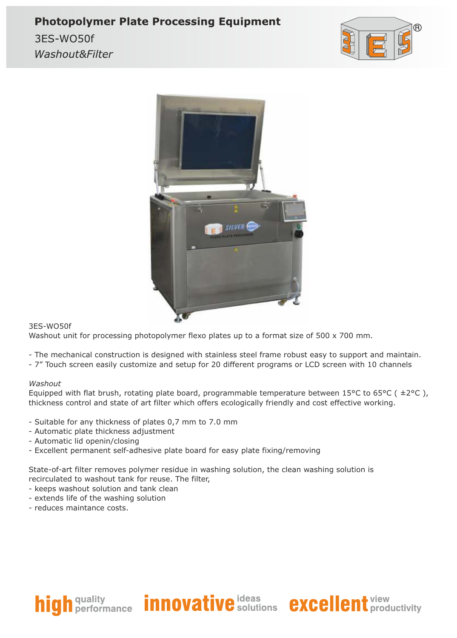## **Photopolymer Plate Processing Equipment**

3ES-WO50f Washout&Filter





#### 3ES-WO50f

Washout unit for processing photopolymer flexo plates up to a format size of 500 x 700 mm.

- The mechanical construction is designed with stainless steel frame robust easy to support and maintain.
- 7" Touch screen easily customize and setup for 20 different programs or LCD screen with 10 channels

#### *Washout*

Equipped with flat brush, rotating plate board, programmable temperature between 15°C to 65°C ( $\pm$ 2°C), thickness control and state of art filter which offers ecologically friendly and cost effective working.

- Suitable for any thickness of plates 0,7 mm to 7.0 mm
- Automatic plate thickness adjustment
- Automatic lid openin/closing
- Excellent permanent self-adhesive plate board for easy plate fixing/removing

State-of-art filter removes polymer residue in washing solution, the clean washing solution is recirculated to washout tank for reuse. The filter,

- keeps washout solution and tank clean
- extends life of the washing solution
- reduces maintance costs.